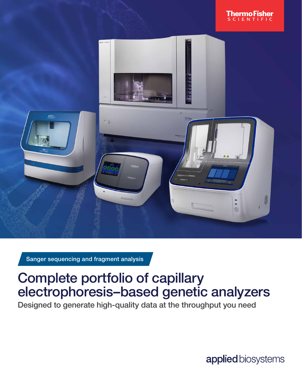



Sanger sequencing and fragment analysis

## Complete portfolio of capillary electrophoresis–based genetic analyzers

Designed to generate high-quality data at the throughput you need

applied biosystems